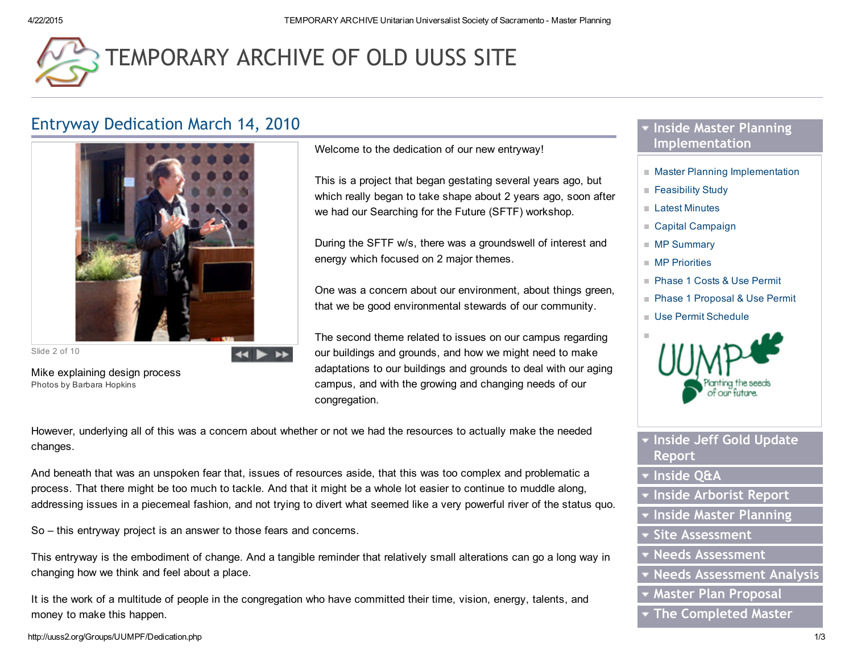# [TEMPORARY](http://uuss2.org/) ARCHIVE OF OLD UUSS SITE

# Entryway Dedication March 14, 2010



Slide 2 of 10

Mike explaining design process Photos by Barbara Hopkins

Welcome to the dedication of our new entryway!

This is a project that began gestating several years ago, but which really began to take shape about 2 years ago, soon after we had our Searching for the Future (SFTF) workshop.

During the SFTF w/s, there was a groundswell of interest and energy which focused on 2 major themes.

One was a concern about our environment, about things green, that we be good environmental stewards of our community.

The second theme related to issues on our campus regarding our buildings and grounds, and how we might need to make adaptations to our buildings and grounds to deal with our aging campus, and with the growing and changing needs of our congregation.

However, underlying all of this was a concern about whether or not we had the resources to actually make the needed changes.

 $\blacktriangleleft$ 

And beneath that was an unspoken fear that, issues of resources aside, that this was too complex and problematic a process. That there might be too much to tackle. And that it might be a whole lot easier to continue to muddle along, addressing issues in a piecemeal fashion, and not trying to divert what seemed like a very powerful river of the status quo.

So – this entryway project is an answer to those fears and concerns.

This entryway is the embodiment of change. And a tangible reminder that relatively small alterations can go a long way in changing how we think and feel about a place.

It is the work of a multitude of people in the congregation who have committed their time, vision, energy, talents, and money to make this happen.

# **The Inside Master Planning** Implementation

- **Master Planning [Implementation](http://uuss2.org/Groups/UUMPF/MPI.php)**
- **[Feasibility](http://uuss2.org/Groups/UUMPF/files/MPI/Feasbility_Study.pdf) Study**
- Latest [Minutes](http://uuss2.org/Groups/UUMPF/files/MPI/Minutes/Minutes_final_Sep26_2012.pdf)
- Capital [Campaign](http://uuss2.org/Groups/UUMPF/Capital_Campaign.php)
- **MP [Summary](http://uuss2.org/Groups/UUMPF/files/MPI/MP_Summary_1.pdf)**
- **MP** [Priorities](http://uuss2.org/Groups/UUMPF/files/MPI/MP_Priorities.pdf)
- **Phase 1 Costs & Use [Permit](http://uuss2.org/Groups/UUMPF/files/MPI/5-18-12_UUSS_Est._Costs_Phase_1_use_permit.pdf)**
- Phase 1 [Proposal](http://uuss2.org/Groups/UUMPF/files/MPI/5-18-12_UUSS_Proposal_Phase_1_use_permit.pdf) & Use Permit
- Use Permit [Schedule](http://uuss2.org/Groups/UUMPF/files/MPI/5._Rev_9-16-12_Use_Permit_Schedule.pdf)



- **v** Inside Jeff Gold Update Report
- **v** Inside Q&A
- Inside Arborist Report
- Inside Master Planning
- Site Assessment
- Needs Assessment
- Needs Assessment Analysis
- Master Plan Proposal
- **The Completed Master**

http://uuss2.org/Groups/UUMPF/Dedication.php 1/3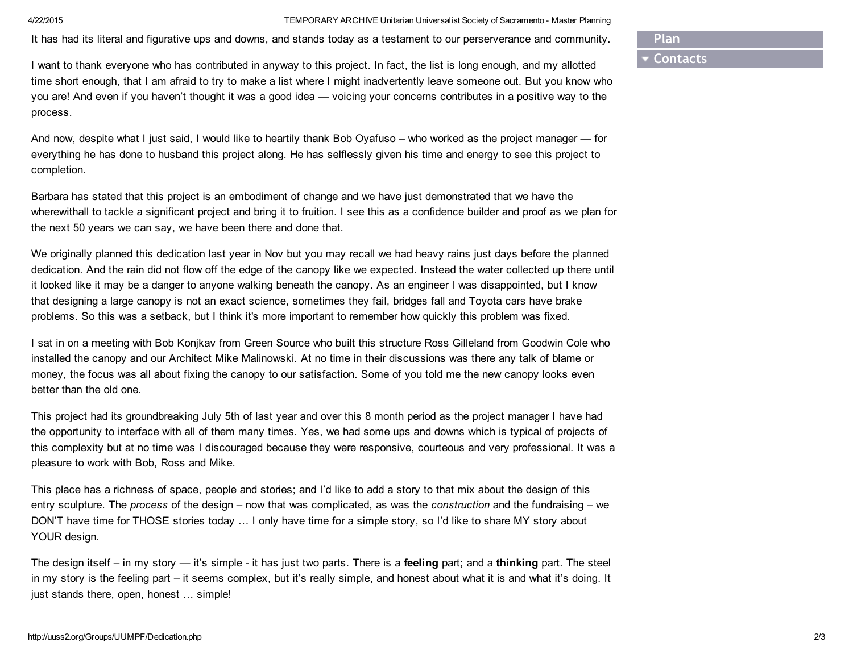4/22/2015 TEMPORARY ARCHIVE Unitarian Universalist Society of Sacramento Master Planning

It has had its literal and figurative ups and downs, and stands today as a testament to our perserverance and community.

Plan

## **Contacts**

I want to thank everyone who has contributed in anyway to this project. In fact, the list is long enough, and my allotted time short enough, that I am afraid to try to make a list where I might inadvertently leave someone out. But you know who you are! And even if you haven't thought it was a good idea — voicing your concerns contributes in a positive way to the process.

And now, despite what I just said, I would like to heartily thank Bob Oyafuso – who worked as the project manager — for everything he has done to husband this project along. He has selflessly given his time and energy to see this project to completion.

Barbara has stated that this project is an embodiment of change and we have just demonstrated that we have the wherewithall to tackle a significant project and bring it to fruition. I see this as a confidence builder and proof as we plan for the next 50 years we can say, we have been there and done that.

We originally planned this dedication last year in Nov but you may recall we had heavy rains just days before the planned dedication. And the rain did not flow off the edge of the canopy like we expected. Instead the water collected up there until it looked like it may be a danger to anyone walking beneath the canopy. As an engineer I was disappointed, but I know that designing a large canopy is not an exact science, sometimes they fail, bridges fall and Toyota cars have brake problems. So this was a setback, but I think it's more important to remember how quickly this problem was fixed.

I sat in on a meeting with Bob Konjkav from Green Source who built this structure Ross Gilleland from Goodwin Cole who installed the canopy and our Architect Mike Malinowski. At no time in their discussions was there any talk of blame or money, the focus was all about fixing the canopy to our satisfaction. Some of you told me the new canopy looks even better than the old one.

This project had its groundbreaking July 5th of last year and over this 8 month period as the project manager I have had the opportunity to interface with all of them many times. Yes, we had some ups and downs which is typical of projects of this complexity but at no time was I discouraged because they were responsive, courteous and very professional. It was a pleasure to work with Bob, Ross and Mike.

This place has a richness of space, people and stories; and I'd like to add a story to that mix about the design of this entry sculpture. The *process* of the design – now that was complicated, as was the *construction* and the fundraising – we DON'T have time for THOSE stories today … I only have time for a simple story, so I'd like to share MY story about YOUR design.

The design itself – in my story — it's simple - it has just two parts. There is a feeling part; and a thinking part. The steel in my story is the feeling part – it seems complex, but it's really simple, and honest about what it is and what it's doing. It just stands there, open, honest … simple!